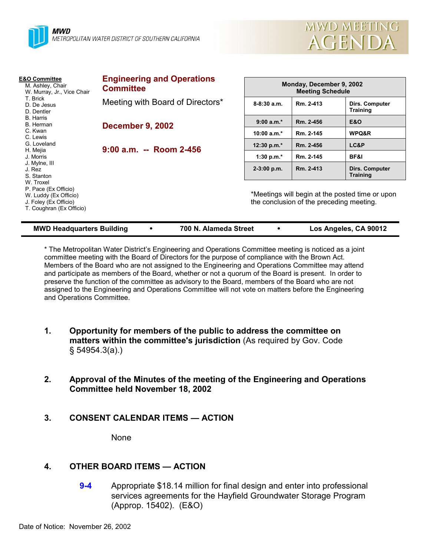



| <b>E&amp;O Committee</b><br>M. Ashley, Chair<br>W. Murray, Jr., Vice Chair<br>T. Brick<br>D. De Jesus<br>D. Dentler<br>B. Harris<br>B. Herman<br>C. Kwan<br>C. Lewis<br>G. Loveland<br>H. Mejia<br>J. Morris<br>J. Mylne, III<br>J. Rez<br>S. Stanton<br>W. Troxel<br>P. Pace (Ex Officio)<br>W. Luddy (Ex Officio)<br>J. Foley (Ex Officio)<br>T. Coughran (Ex Officio) | <b>Engineering and Operations</b><br><b>Committee</b> | Monday, December 9, 2002<br><b>Meeting Schedule</b>                                         |           |                                   |
|--------------------------------------------------------------------------------------------------------------------------------------------------------------------------------------------------------------------------------------------------------------------------------------------------------------------------------------------------------------------------|-------------------------------------------------------|---------------------------------------------------------------------------------------------|-----------|-----------------------------------|
|                                                                                                                                                                                                                                                                                                                                                                          | Meeting with Board of Directors*                      | $8-8:30$ a.m.                                                                               | Rm. 2-413 | Dirs. Computer<br><b>Training</b> |
|                                                                                                                                                                                                                                                                                                                                                                          | <b>December 9, 2002</b>                               | $9:00 a.m.*$                                                                                | Rm. 2-456 | <b>E&amp;O</b>                    |
|                                                                                                                                                                                                                                                                                                                                                                          |                                                       | 10:00 $a.m.*$                                                                               | Rm. 2-145 | WPQ&R                             |
|                                                                                                                                                                                                                                                                                                                                                                          | $9:00$ a.m. -- Room 2-456                             | 12:30 p.m.*                                                                                 | Rm. 2-456 | LC&P                              |
|                                                                                                                                                                                                                                                                                                                                                                          |                                                       | 1:30 p.m. $*$                                                                               | Rm. 2-145 | BF&I                              |
|                                                                                                                                                                                                                                                                                                                                                                          |                                                       | $2-3:00$ p.m.                                                                               | Rm. 2-413 | Dirs. Computer<br><b>Training</b> |
|                                                                                                                                                                                                                                                                                                                                                                          |                                                       | *Meetings will begin at the posted time or upon<br>the conclusion of the preceding meeting. |           |                                   |

|  |  | <b>MWD Headquarters Building</b> |
|--|--|----------------------------------|
|--|--|----------------------------------|

**MMB Headquarter <b>Particle 100 N.** Alameda Street **100 PMB 100 Angeles, CA 90012** 

\* The Metropolitan Water Districtís Engineering and Operations Committee meeting is noticed as a joint committee meeting with the Board of Directors for the purpose of compliance with the Brown Act. Members of the Board who are not assigned to the Engineering and Operations Committee may attend and participate as members of the Board, whether or not a quorum of the Board is present. In order to preserve the function of the committee as advisory to the Board, members of the Board who are not assigned to the Engineering and Operations Committee will not vote on matters before the Engineering and Operations Committee.

- **1. Opportunity for members of the public to address the committee on matters within the committee's jurisdiction** (As required by Gov. Code ß 54954.3(a).)
- **2. Approval of the Minutes of the meeting of the Engineering and Operations Committee held November 18, 2002**
- **3. CONSENT CALENDAR ITEMS ACTION**

None

# **4. OTHER BOARD ITEMS — ACTION**

**9-4** Appropriate \$18.14 million for final design and enter into professional services agreements for the Hayfield Groundwater Storage Program (Approp. 15402). (E&O)